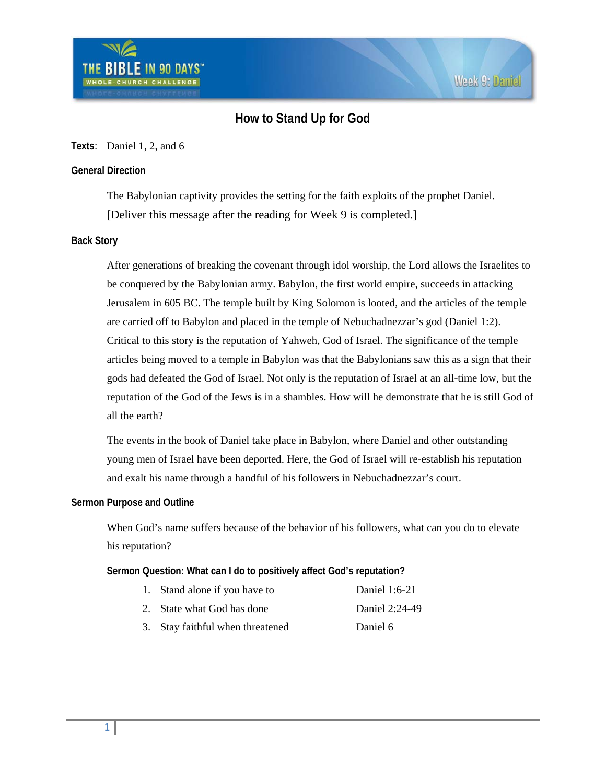# **How to Stand Up for God**

# **Texts**: Daniel 1, 2, and 6

# **General Direction**

The Babylonian captivity provides the setting for the faith exploits of the prophet Daniel. [Deliver this message after the reading for Week 9 is completed.]

# **Back Story**

After generations of breaking the covenant through idol worship, the Lord allows the Israelites to be conquered by the Babylonian army. Babylon, the first world empire, succeeds in attacking Jerusalem in 605 BC. The temple built by King Solomon is looted, and the articles of the temple are carried off to Babylon and placed in the temple of Nebuchadnezzar's god (Daniel 1:2). Critical to this story is the reputation of Yahweh, God of Israel. The significance of the temple articles being moved to a temple in Babylon was that the Babylonians saw this as a sign that their gods had defeated the God of Israel. Not only is the reputation of Israel at an all-time low, but the reputation of the God of the Jews is in a shambles. How will he demonstrate that he is still God of all the earth?

The events in the book of Daniel take place in Babylon, where Daniel and other outstanding young men of Israel have been deported. Here, the God of Israel will re-establish his reputation and exalt his name through a handful of his followers in Nebuchadnezzar's court.

# **Sermon Purpose and Outline**

When God's name suffers because of the behavior of his followers, what can you do to elevate his reputation?

**Sermon Question: What can I do to positively affect God's reputation?** 

| 1. Stand alone if you have to    | Daniel 1:6-21  |
|----------------------------------|----------------|
| 2. State what God has done       | Daniel 2:24-49 |
| 3. Stay faithful when threatened | Daniel 6       |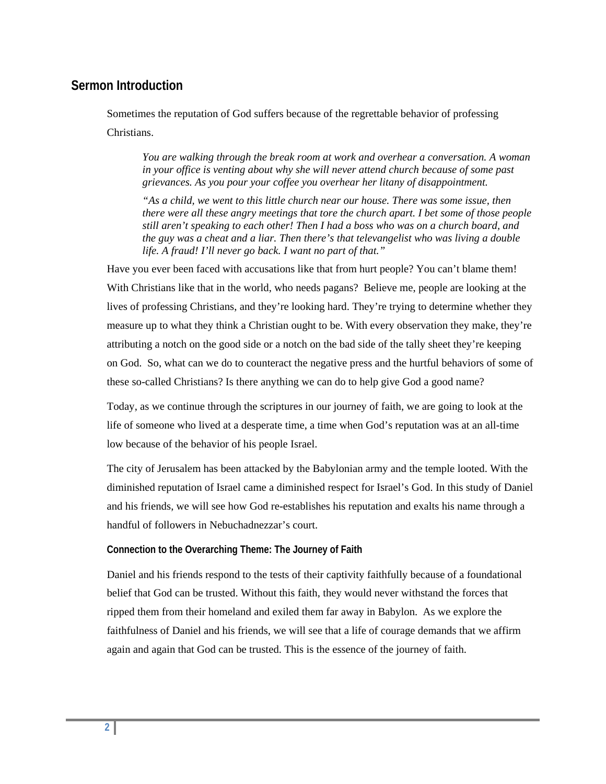# **Sermon Introduction**

Sometimes the reputation of God suffers because of the regrettable behavior of professing Christians.

*You are walking through the break room at work and overhear a conversation. A woman in your office is venting about why she will never attend church because of some past grievances. As you pour your coffee you overhear her litany of disappointment.* 

*"As a child, we went to this little church near our house. There was some issue, then there were all these angry meetings that tore the church apart. I bet some of those people still aren't speaking to each other! Then I had a boss who was on a church board, and the guy was a cheat and a liar. Then there's that televangelist who was living a double life. A fraud! I'll never go back. I want no part of that."* 

Have you ever been faced with accusations like that from hurt people? You can't blame them! With Christians like that in the world, who needs pagans? Believe me, people are looking at the lives of professing Christians, and they're looking hard. They're trying to determine whether they measure up to what they think a Christian ought to be. With every observation they make, they're attributing a notch on the good side or a notch on the bad side of the tally sheet they're keeping on God. So, what can we do to counteract the negative press and the hurtful behaviors of some of these so-called Christians? Is there anything we can do to help give God a good name?

Today, as we continue through the scriptures in our journey of faith, we are going to look at the life of someone who lived at a desperate time, a time when God's reputation was at an all-time low because of the behavior of his people Israel.

The city of Jerusalem has been attacked by the Babylonian army and the temple looted. With the diminished reputation of Israel came a diminished respect for Israel's God. In this study of Daniel and his friends, we will see how God re-establishes his reputation and exalts his name through a handful of followers in Nebuchadnezzar's court.

# **Connection to the Overarching Theme: The Journey of Faith**

Daniel and his friends respond to the tests of their captivity faithfully because of a foundational belief that God can be trusted. Without this faith, they would never withstand the forces that ripped them from their homeland and exiled them far away in Babylon. As we explore the faithfulness of Daniel and his friends, we will see that a life of courage demands that we affirm again and again that God can be trusted. This is the essence of the journey of faith.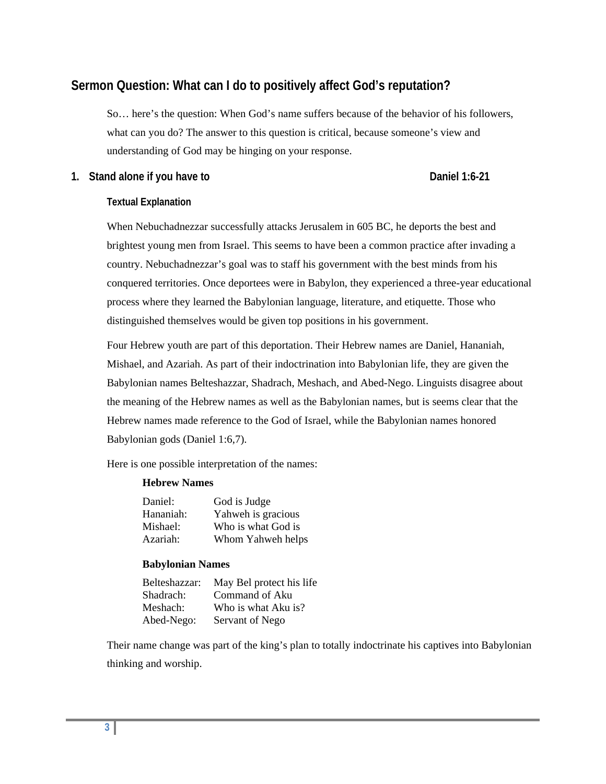# **Sermon Question: What can I do to positively affect God's reputation?**

So… here's the question: When God's name suffers because of the behavior of his followers, what can you do? The answer to this question is critical, because someone's view and understanding of God may be hinging on your response.

# 1. Stand alone if you have to **Daniel 1:6-21 Daniel 1:6-21**

# **Textual Explanation**

When Nebuchadnezzar successfully attacks Jerusalem in 605 BC, he deports the best and brightest young men from Israel. This seems to have been a common practice after invading a country. Nebuchadnezzar's goal was to staff his government with the best minds from his conquered territories. Once deportees were in Babylon, they experienced a three-year educational process where they learned the Babylonian language, literature, and etiquette. Those who distinguished themselves would be given top positions in his government.

Four Hebrew youth are part of this deportation. Their Hebrew names are Daniel, Hananiah, Mishael, and Azariah. As part of their indoctrination into Babylonian life, they are given the Babylonian names Belteshazzar, Shadrach, Meshach, and Abed-Nego. Linguists disagree about the meaning of the Hebrew names as well as the Babylonian names, but is seems clear that the Hebrew names made reference to the God of Israel, while the Babylonian names honored Babylonian gods (Daniel 1:6,7).

Here is one possible interpretation of the names:

# **Hebrew Names**

| Daniel:   | God is Judge       |
|-----------|--------------------|
| Hananiah: | Yahweh is gracious |
| Mishael:  | Who is what God is |
| Azariah:  | Whom Yahweh helps  |

# **Babylonian Names**

| May Bel protect his life |
|--------------------------|
| Command of Aku           |
| Who is what Aku is?      |
| Servant of Nego          |
|                          |

Their name change was part of the king's plan to totally indoctrinate his captives into Babylonian thinking and worship.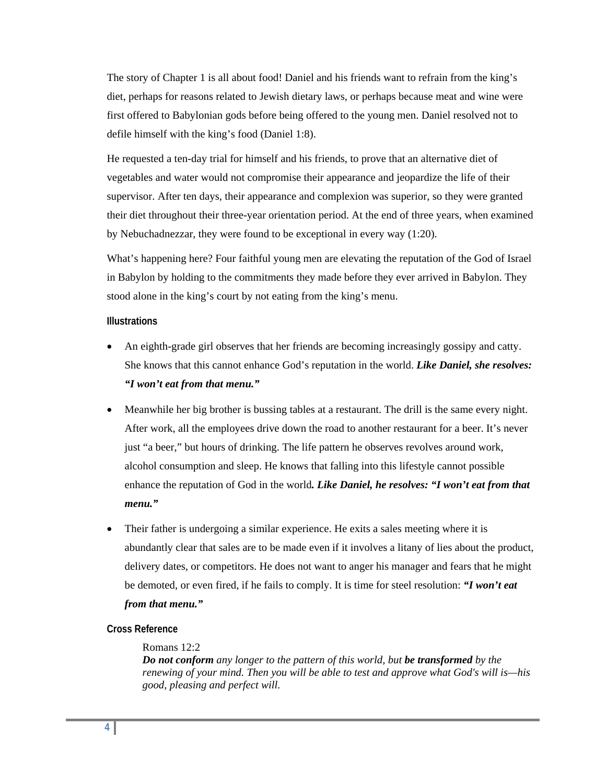The story of Chapter 1 is all about food! Daniel and his friends want to refrain from the king's diet, perhaps for reasons related to Jewish dietary laws, or perhaps because meat and wine were first offered to Babylonian gods before being offered to the young men. Daniel resolved not to defile himself with the king's food (Daniel 1:8).

He requested a ten-day trial for himself and his friends, to prove that an alternative diet of vegetables and water would not compromise their appearance and jeopardize the life of their supervisor. After ten days, their appearance and complexion was superior, so they were granted their diet throughout their three-year orientation period. At the end of three years, when examined by Nebuchadnezzar, they were found to be exceptional in every way (1:20).

What's happening here? Four faithful young men are elevating the reputation of the God of Israel in Babylon by holding to the commitments they made before they ever arrived in Babylon. They stood alone in the king's court by not eating from the king's menu.

## **Illustrations**

- An eighth-grade girl observes that her friends are becoming increasingly gossipy and catty. She knows that this cannot enhance God's reputation in the world. *Like Daniel, she resolves: "I won't eat from that menu."*
- Meanwhile her big brother is bussing tables at a restaurant. The drill is the same every night. After work, all the employees drive down the road to another restaurant for a beer. It's never just "a beer," but hours of drinking. The life pattern he observes revolves around work, alcohol consumption and sleep. He knows that falling into this lifestyle cannot possible enhance the reputation of God in the world*. Like Daniel, he resolves: "I won't eat from that menu."*
- Their father is undergoing a similar experience. He exits a sales meeting where it is abundantly clear that sales are to be made even if it involves a litany of lies about the product, delivery dates, or competitors. He does not want to anger his manager and fears that he might be demoted, or even fired, if he fails to comply. It is time for steel resolution: *"I won't eat from that menu."*

# **Cross Reference**

## Romans 12:2

*Do not conform any longer to the pattern of this world, but be transformed by the renewing of your mind. Then you will be able to test and approve what God's will is—his good, pleasing and perfect will.*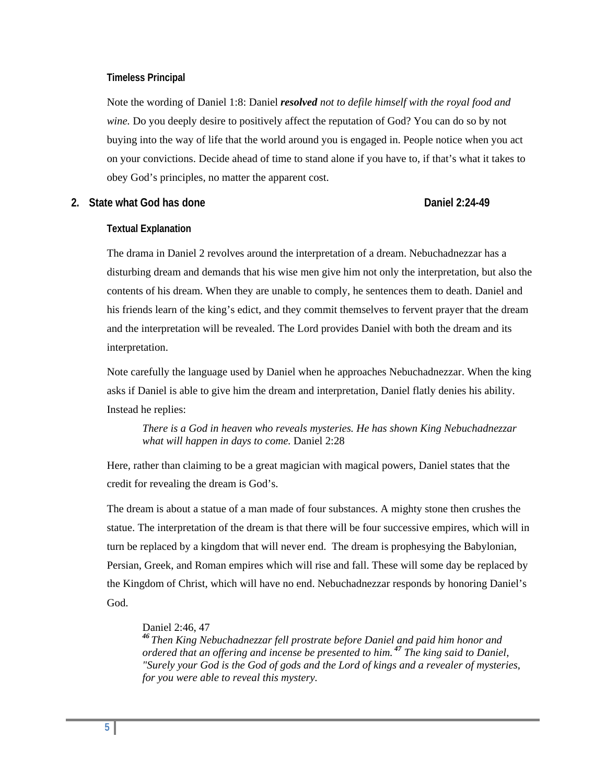### **Timeless Principal**

Note the wording of Daniel 1:8: Daniel *resolved not to defile himself with the royal food and wine.* Do you deeply desire to positively affect the reputation of God? You can do so by not buying into the way of life that the world around you is engaged in. People notice when you act on your convictions. Decide ahead of time to stand alone if you have to, if that's what it takes to obey God's principles, no matter the apparent cost.

# **2. State what God has done Daniel 2:24-49**

## **Textual Explanation**

The drama in Daniel 2 revolves around the interpretation of a dream. Nebuchadnezzar has a disturbing dream and demands that his wise men give him not only the interpretation, but also the contents of his dream. When they are unable to comply, he sentences them to death. Daniel and his friends learn of the king's edict, and they commit themselves to fervent prayer that the dream and the interpretation will be revealed. The Lord provides Daniel with both the dream and its interpretation.

Note carefully the language used by Daniel when he approaches Nebuchadnezzar. When the king asks if Daniel is able to give him the dream and interpretation, Daniel flatly denies his ability. Instead he replies:

*There is a God in heaven who reveals mysteries. He has shown King Nebuchadnezzar what will happen in days to come.* Daniel 2:28

Here, rather than claiming to be a great magician with magical powers, Daniel states that the credit for revealing the dream is God's.

The dream is about a statue of a man made of four substances. A mighty stone then crushes the statue. The interpretation of the dream is that there will be four successive empires, which will in turn be replaced by a kingdom that will never end. The dream is prophesying the Babylonian, Persian, Greek, and Roman empires which will rise and fall. These will some day be replaced by the Kingdom of Christ, which will have no end. Nebuchadnezzar responds by honoring Daniel's God.

### Daniel 2:46, 47

*<sup>46</sup> Then King Nebuchadnezzar fell prostrate before Daniel and paid him honor and ordered that an offering and incense be presented to him. <sup>47</sup> The king said to Daniel, "Surely your God is the God of gods and the Lord of kings and a revealer of mysteries, for you were able to reveal this mystery.*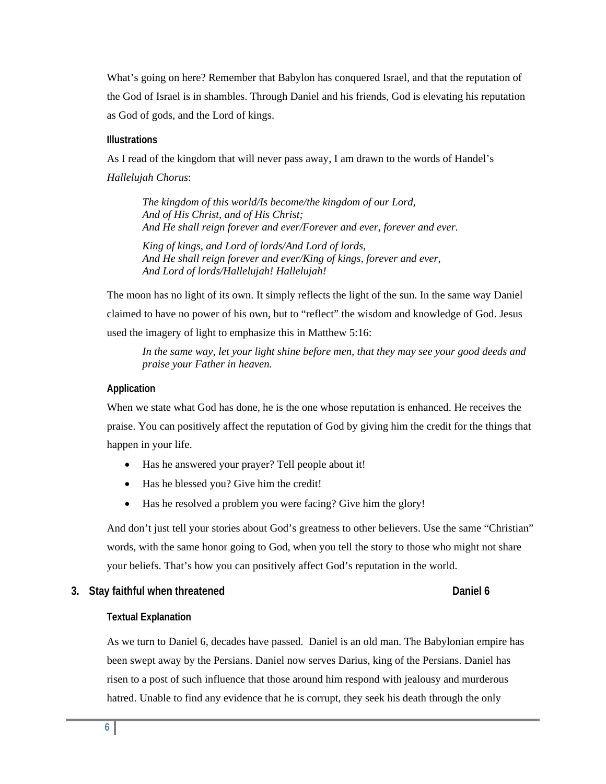What's going on here? Remember that Babylon has conquered Israel, and that the reputation of the God of Israel is in shambles. Through Daniel and his friends, God is elevating his reputation as God of gods, and the Lord of kings.

### **Illustrations**

As I read of the kingdom that will never pass away, I am drawn to the words of Handel's *Hallelujah Chorus*:

*The kingdom of this world/Is become/the kingdom of our Lord, And of His Christ, and of His Christ; And He shall reign forever and ever/Forever and ever, forever and ever.* 

*King of kings, and Lord of lords/And Lord of lords, And He shall reign forever and ever/King of kings, forever and ever, And Lord of lords/Hallelujah! Hallelujah!* 

The moon has no light of its own. It simply reflects the light of the sun. In the same way Daniel claimed to have no power of his own, but to "reflect" the wisdom and knowledge of God. Jesus used the imagery of light to emphasize this in Matthew 5:16:

*In the same way, let your light shine before men, that they may see your good deeds and praise your Father in heaven.* 

## **Application**

When we state what God has done, he is the one whose reputation is enhanced. He receives the praise. You can positively affect the reputation of God by giving him the credit for the things that happen in your life.

- Has he answered your prayer? Tell people about it!
- Has he blessed you? Give him the credit!
- Has he resolved a problem you were facing? Give him the glory!

And don't just tell your stories about God's greatness to other believers. Use the same "Christian" words, with the same honor going to God, when you tell the story to those who might not share your beliefs. That's how you can positively affect God's reputation in the world.

# **3.** Stay faithful when threatened **Daniel 6 Daniel 6**

# **Textual Explanation**

As we turn to Daniel 6, decades have passed. Daniel is an old man. The Babylonian empire has been swept away by the Persians. Daniel now serves Darius, king of the Persians. Daniel has risen to a post of such influence that those around him respond with jealousy and murderous hatred. Unable to find any evidence that he is corrupt, they seek his death through the only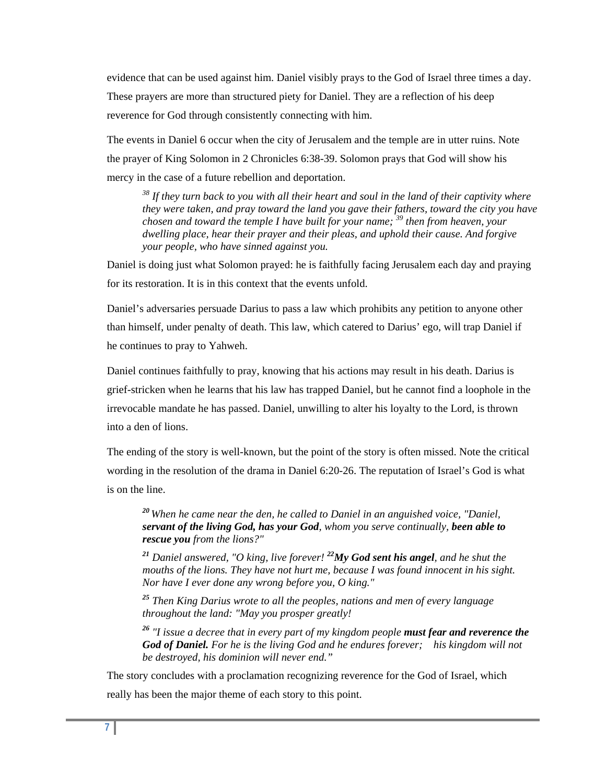evidence that can be used against him. Daniel visibly prays to the God of Israel three times a day. These prayers are more than structured piety for Daniel. They are a reflection of his deep reverence for God through consistently connecting with him.

The events in Daniel 6 occur when the city of Jerusalem and the temple are in utter ruins. Note the prayer of King Solomon in 2 Chronicles 6:38-39. Solomon prays that God will show his mercy in the case of a future rebellion and deportation.

*38 If they turn back to you with all their heart and soul in the land of their captivity where they were taken, and pray toward the land you gave their fathers, toward the city you have chosen and toward the temple I have built for your name; 39 then from heaven, your dwelling place, hear their prayer and their pleas, and uphold their cause. And forgive your people, who have sinned against you.* 

Daniel is doing just what Solomon prayed: he is faithfully facing Jerusalem each day and praying for its restoration. It is in this context that the events unfold.

Daniel's adversaries persuade Darius to pass a law which prohibits any petition to anyone other than himself, under penalty of death. This law, which catered to Darius' ego, will trap Daniel if he continues to pray to Yahweh.

Daniel continues faithfully to pray, knowing that his actions may result in his death. Darius is grief-stricken when he learns that his law has trapped Daniel, but he cannot find a loophole in the irrevocable mandate he has passed. Daniel, unwilling to alter his loyalty to the Lord, is thrown into a den of lions.

The ending of the story is well-known, but the point of the story is often missed. Note the critical wording in the resolution of the drama in Daniel 6:20-26. The reputation of Israel's God is what is on the line.

*<sup>20</sup> When he came near the den, he called to Daniel in an anguished voice, "Daniel, servant of the living God, has your God, whom you serve continually, been able to rescue you from the lions?"* 

*<sup>21</sup> Daniel answered, "O king, live forever! 22My God sent his angel, and he shut the mouths of the lions. They have not hurt me, because I was found innocent in his sight. Nor have I ever done any wrong before you, O king."* 

*<sup>25</sup> Then King Darius wrote to all the peoples, nations and men of every language throughout the land: "May you prosper greatly!* 

*<sup>26</sup> "I issue a decree that in every part of my kingdom people must fear and reverence the God of Daniel. For he is the living God and he endures forever; his kingdom will not be destroyed, his dominion will never end."* 

The story concludes with a proclamation recognizing reverence for the God of Israel, which really has been the major theme of each story to this point.